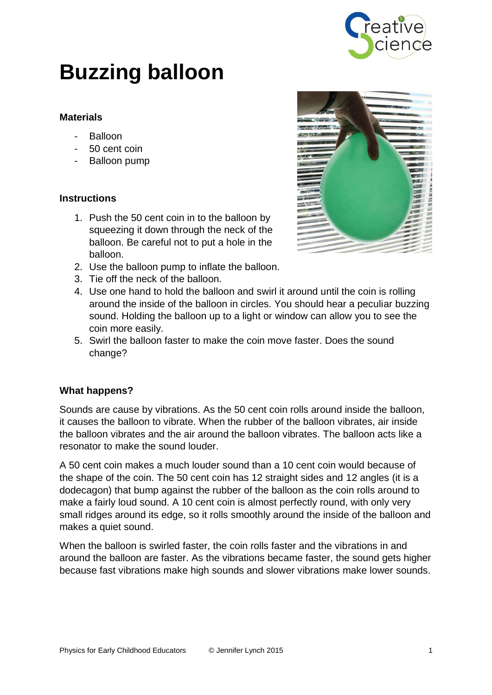

# **Buzzing balloon**

## **Materials**

- Balloon
- 50 cent coin
- Balloon pump

# **Instructions**

- 1. Push the 50 cent coin in to the balloon by squeezing it down through the neck of the balloon. Be careful not to put a hole in the balloon.
- 2. Use the balloon pump to inflate the balloon.
- 3. Tie off the neck of the balloon.
- 4. Use one hand to hold the balloon and swirl it around until the coin is rolling around the inside of the balloon in circles. You should hear a peculiar buzzing sound. Holding the balloon up to a light or window can allow you to see the coin more easily.
- 5. Swirl the balloon faster to make the coin move faster. Does the sound change?

### **What happens?**

Sounds are cause by vibrations. As the 50 cent coin rolls around inside the balloon, it causes the balloon to vibrate. When the rubber of the balloon vibrates, air inside the balloon vibrates and the air around the balloon vibrates. The balloon acts like a resonator to make the sound louder.

A 50 cent coin makes a much louder sound than a 10 cent coin would because of the shape of the coin. The 50 cent coin has 12 straight sides and 12 angles (it is a dodecagon) that bump against the rubber of the balloon as the coin rolls around to make a fairly loud sound. A 10 cent coin is almost perfectly round, with only very small ridges around its edge, so it rolls smoothly around the inside of the balloon and makes a quiet sound.

When the balloon is swirled faster, the coin rolls faster and the vibrations in and around the balloon are faster. As the vibrations became faster, the sound gets higher because fast vibrations make high sounds and slower vibrations make lower sounds.